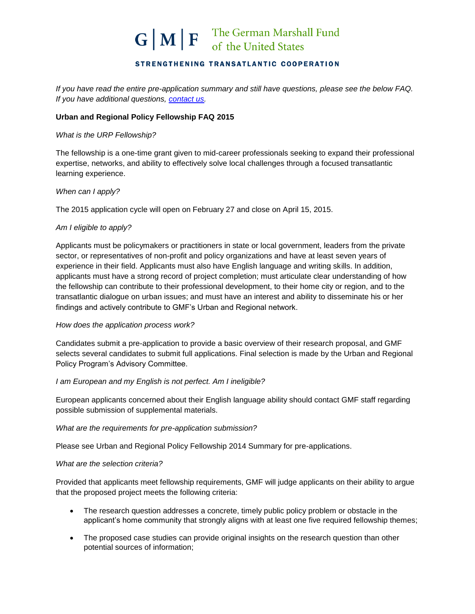## STRENGTHENING TRANSATLANTIC COOPERATION

*If you have read the entire pre-application summary and still have questions, please see the below FAQ. If you have additional questions, [contact us.](mailto:bstarodaj@gmfus.org?subject=Urban%20and%20Regional%20Policy%20Fellowship%202015)* 

## **Urban and Regional Policy Fellowship FAQ 2015**

### *What is the URP Fellowship?*

The fellowship is a one-time grant given to mid-career professionals seeking to expand their professional expertise, networks, and ability to effectively solve local challenges through a focused transatlantic learning experience.

### *When can I apply?*

The 2015 application cycle will open on February 27 and close on April 15, 2015.

#### *Am I eligible to apply?*

Applicants must be policymakers or practitioners in state or local government, leaders from the private sector, or representatives of non-profit and policy organizations and have at least seven years of experience in their field. Applicants must also have English language and writing skills. In addition, applicants must have a strong record of project completion; must articulate clear understanding of how the fellowship can contribute to their professional development, to their home city or region, and to the transatlantic dialogue on urban issues; and must have an interest and ability to disseminate his or her findings and actively contribute to GMF's Urban and Regional network.

#### *How does the application process work?*

Candidates submit a pre-application to provide a basic overview of their research proposal, and GMF selects several candidates to submit full applications. Final selection is made by the Urban and Regional Policy Program's Advisory Committee.

#### *I am European and my English is not perfect. Am I ineligible?*

European applicants concerned about their English language ability should contact GMF staff regarding possible submission of supplemental materials.

#### *What are the requirements for pre-application submission?*

Please see Urban and Regional Policy Fellowship 2014 Summary for pre-applications.

#### *What are the selection criteria?*

Provided that applicants meet fellowship requirements, GMF will judge applicants on their ability to argue that the proposed project meets the following criteria:

- The research question addresses a concrete, timely public policy problem or obstacle in the applicant's home community that strongly aligns with at least one five required fellowship themes;
- The proposed case studies can provide original insights on the research question than other potential sources of information;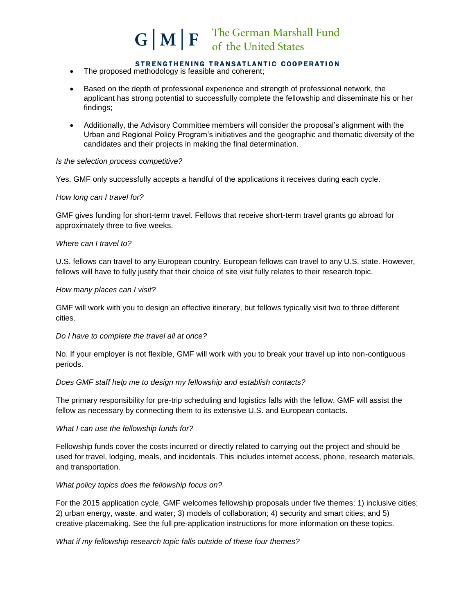## STRENGTHENING TRANSATLANTIC COOPERATION

- The proposed methodology is feasible and coherent;
- Based on the depth of professional experience and strength of professional network, the applicant has strong potential to successfully complete the fellowship and disseminate his or her findings;
- Additionally, the Advisory Committee members will consider the proposal's alignment with the Urban and Regional Policy Program's initiatives and the geographic and thematic diversity of the candidates and their projects in making the final determination.

## *Is the selection process competitive?*

Yes. GMF only successfully accepts a handful of the applications it receives during each cycle.

#### *How long can I travel for?*

GMF gives funding for short-term travel. Fellows that receive short-term travel grants go abroad for approximately three to five weeks.

#### *Where can I travel to?*

U.S. fellows can travel to any European country. European fellows can travel to any U.S. state. However, fellows will have to fully justify that their choice of site visit fully relates to their research topic.

#### *How many places can I visit?*

GMF will work with you to design an effective itinerary, but fellows typically visit two to three different cities.

#### *Do I have to complete the travel all at once?*

No. If your employer is not flexible, GMF will work with you to break your travel up into non-contiguous periods.

#### *Does GMF staff help me to design my fellowship and establish contacts?*

The primary responsibility for pre-trip scheduling and logistics falls with the fellow. GMF will assist the fellow as necessary by connecting them to its extensive U.S. and European contacts.

## *What I can use the fellowship funds for?*

Fellowship funds cover the costs incurred or directly related to carrying out the project and should be used for travel, lodging, meals, and incidentals. This includes internet access, phone, research materials, and transportation.

#### *What policy topics does the fellowship focus on?*

For the 2015 application cycle, GMF welcomes fellowship proposals under five themes: 1) inclusive cities; 2) urban energy, waste, and water; 3) models of collaboration; 4) security and smart cities; and 5) creative placemaking. See the full pre-application instructions for more information on these topics.

*What if my fellowship research topic falls outside of these four themes?*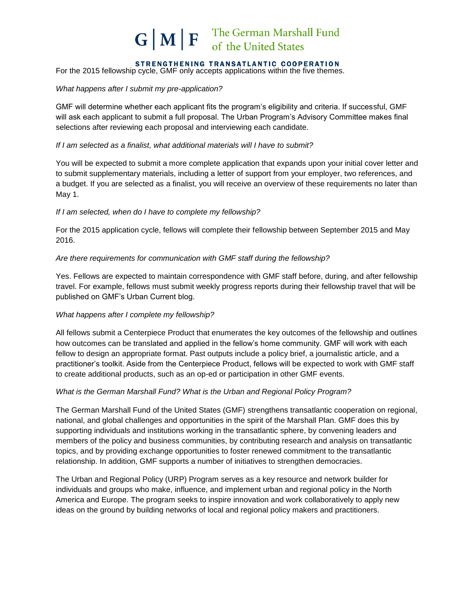#### STRENGTHENING TRANSATLANTIC COOPERATION

For the 2015 fellowship cycle, GMF only accepts applications within the five themes.

### *What happens after I submit my pre-application?*

GMF will determine whether each applicant fits the program's eligibility and criteria. If successful, GMF will ask each applicant to submit a full proposal. The Urban Program's Advisory Committee makes final selections after reviewing each proposal and interviewing each candidate.

### *If I am selected as a finalist, what additional materials will I have to submit?*

You will be expected to submit a more complete application that expands upon your initial cover letter and to submit supplementary materials, including a letter of support from your employer, two references, and a budget. If you are selected as a finalist, you will receive an overview of these requirements no later than May 1.

## *If I am selected, when do I have to complete my fellowship?*

For the 2015 application cycle, fellows will complete their fellowship between September 2015 and May 2016.

#### *Are there requirements for communication with GMF staff during the fellowship?*

Yes. Fellows are expected to maintain correspondence with GMF staff before, during, and after fellowship travel. For example, fellows must submit weekly progress reports during their fellowship travel that will be published on GMF's Urban Current blog.

## *What happens after I complete my fellowship?*

All fellows submit a Centerpiece Product that enumerates the key outcomes of the fellowship and outlines how outcomes can be translated and applied in the fellow's home community. GMF will work with each fellow to design an appropriate format. Past outputs include a policy brief, a journalistic article, and a practitioner's toolkit. Aside from the Centerpiece Product, fellows will be expected to work with GMF staff to create additional products, such as an op-ed or participation in other GMF events.

## *What is the German Marshall Fund? What is the Urban and Regional Policy Program?*

The German Marshall Fund of the United States (GMF) strengthens transatlantic cooperation on regional, national, and global challenges and opportunities in the spirit of the Marshall Plan. GMF does this by supporting individuals and institutions working in the transatlantic sphere, by convening leaders and members of the policy and business communities, by contributing research and analysis on transatlantic topics, and by providing exchange opportunities to foster renewed commitment to the transatlantic relationship. In addition, GMF supports a number of initiatives to strengthen democracies.

The Urban and Regional Policy (URP) Program serves as a key resource and network builder for individuals and groups who make, influence, and implement urban and regional policy in the North America and Europe. The program seeks to inspire innovation and work collaboratively to apply new ideas on the ground by building networks of local and regional policy makers and practitioners.